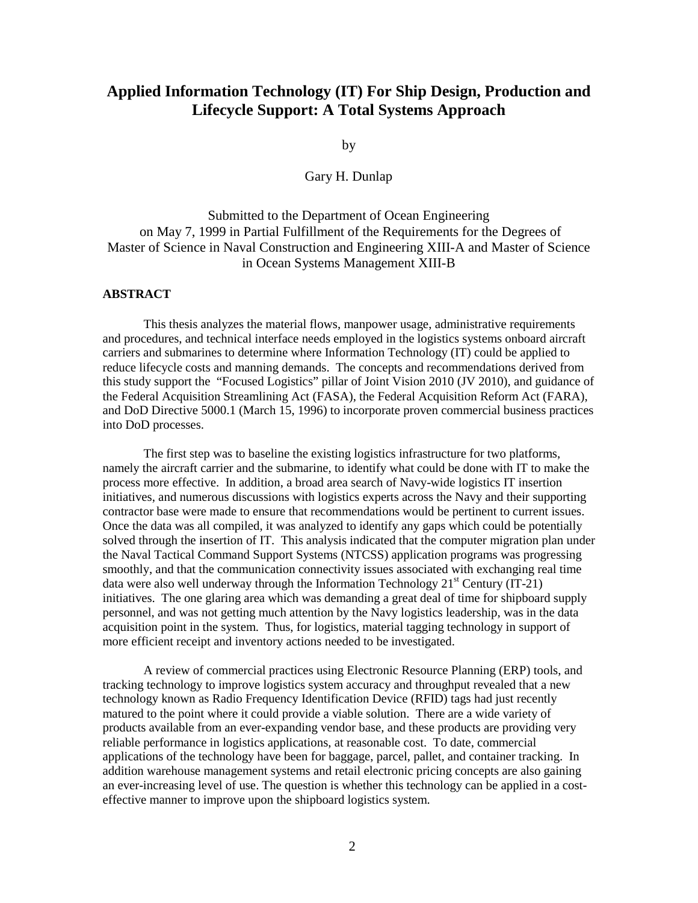## **Applied Information Technology (IT) For Ship Design, Production and Lifecycle Support: A Total Systems Approach**

by

## Gary H. Dunlap

## Submitted to the Department of Ocean Engineering on May 7, 1999 in Partial Fulfillment of the Requirements for the Degrees of Master of Science in Naval Construction and Engineering XIII-A and Master of Science in Ocean Systems Management XIII-B

## **ABSTRACT**

This thesis analyzes the material flows, manpower usage, administrative requirements and procedures, and technical interface needs employed in the logistics systems onboard aircraft carriers and submarines to determine where Information Technology (IT) could be applied to reduce lifecycle costs and manning demands. The concepts and recommendations derived from this study support the "Focused Logistics" pillar of Joint Vision 2010 (JV 2010), and guidance of the Federal Acquisition Streamlining Act (FASA), the Federal Acquisition Reform Act (FARA), and DoD Directive 5000.1 (March 15, 1996) to incorporate proven commercial business practices into DoD processes.

The first step was to baseline the existing logistics infrastructure for two platforms, namely the aircraft carrier and the submarine, to identify what could be done with IT to make the process more effective. In addition, a broad area search of Navy-wide logistics IT insertion initiatives, and numerous discussions with logistics experts across the Navy and their supporting contractor base were made to ensure that recommendations would be pertinent to current issues. Once the data was all compiled, it was analyzed to identify any gaps which could be potentially solved through the insertion of IT. This analysis indicated that the computer migration plan under the Naval Tactical Command Support Systems (NTCSS) application programs was progressing smoothly, and that the communication connectivity issues associated with exchanging real time data were also well underway through the Information Technology  $21<sup>st</sup>$  Century (IT-21) initiatives. The one glaring area which was demanding a great deal of time for shipboard supply personnel, and was not getting much attention by the Navy logistics leadership, was in the data acquisition point in the system. Thus, for logistics, material tagging technology in support of more efficient receipt and inventory actions needed to be investigated.

A review of commercial practices using Electronic Resource Planning (ERP) tools, and tracking technology to improve logistics system accuracy and throughput revealed that a new technology known as Radio Frequency Identification Device (RFID) tags had just recently matured to the point where it could provide a viable solution. There are a wide variety of products available from an ever-expanding vendor base, and these products are providing very reliable performance in logistics applications, at reasonable cost. To date, commercial applications of the technology have been for baggage, parcel, pallet, and container tracking. In addition warehouse management systems and retail electronic pricing concepts are also gaining an ever-increasing level of use. The question is whether this technology can be applied in a costeffective manner to improve upon the shipboard logistics system.